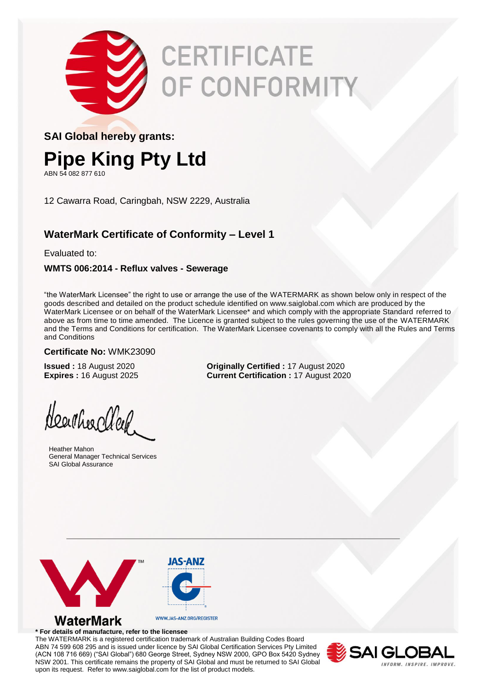

# CERTIFICATE OF CONFORMITY

### **SAI Global hereby grants:**

# **Pipe King Pty Ltd**

ABN 54 082 877 610

12 Cawarra Road, Caringbah, NSW 2229, Australia

## **WaterMark Certificate of Conformity – Level 1**

Evaluated to:

#### **WMTS 006:2014 - Reflux valves - Sewerage**

"the WaterMark Licensee" the right to use or arrange the use of the WATERMARK as shown below only in respect of the goods described and detailed on the product schedule identified on www.saiglobal.com which are produced by the WaterMark Licensee or on behalf of the WaterMark Licensee\* and which comply with the appropriate Standard referred to above as from time to time amended. The Licence is granted subject to the rules governing the use of the WATERMARK and the Terms and Conditions for certification. The WaterMark Licensee covenants to comply with all the Rules and Terms and Conditions

#### **Certificate No:** WMK23090

**Issued :** 18 August 2020 **Originally Certified :** 17 August 2020 **Expires :** 16 August 2025 **Current Certification :** 17 August 2020

Heartheachler

Heather Mahon General Manager Technical Services SAI Global Assurance



#### **\* For details of manufacture, refer to the licensee**

The WATERMARK is a registered certification trademark of Australian Building Codes Board ABN 74 599 608 295 and is issued under licence by SAI Global Certification Services Pty Limited (ACN 108 716 669) ("SAI Global") 680 George Street, Sydney NSW 2000, GPO Box 5420 Sydney NSW 2001. This certificate remains the property of SAI Global and must be returned to SAI Global upon its request. Refer to www.saiglobal.com for the list of product models.